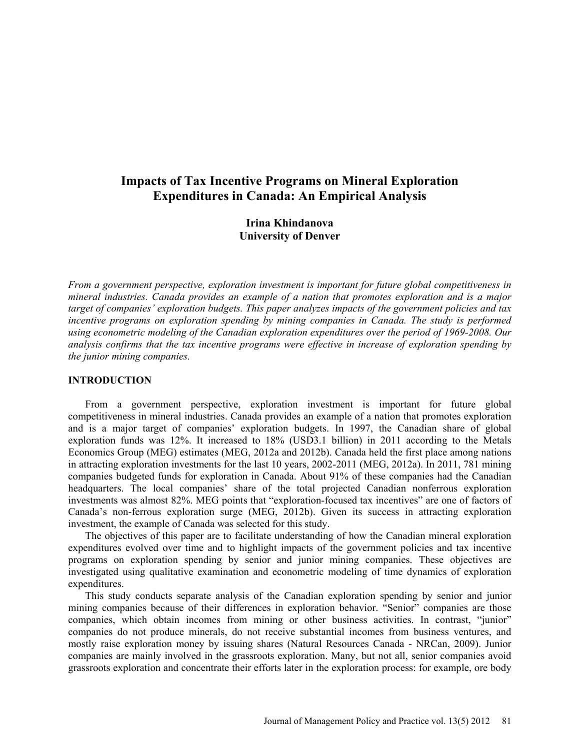# **Impacts of Tax Incentive Programs on Mineral Exploration Expenditures in Canada: An Empirical Analysis**

**Irina Khindanova University of Denver** 

*From a government perspective, exploration investment is important for future global competitiveness in mineral industries. Canada provides an example of a nation that promotes exploration and is a major target of companies' exploration budgets. This paper analyzes impacts of the government policies and tax*  incentive programs on exploration spending by mining companies in Canada. The study is performed *using econometric modeling of the Canadian exploration expenditures over the period of 1969-2008. Our analysis confirms that the tax incentive programs were effective in increase of exploration spending by the junior mining companies.* 

#### **INTRODUCTION**

From a government perspective, exploration investment is important for future global competitiveness in mineral industries. Canada provides an example of a nation that promotes exploration and is a major target of companies' exploration budgets. In 1997, the Canadian share of global exploration funds was 12%. It increased to 18% (USD3.1 billion) in 2011 according to the Metals Economics Group (MEG) estimates (MEG, 2012a and 2012b). Canada held the first place among nations in attracting exploration investments for the last 10 years, 2002-2011 (MEG, 2012a). In 2011, 781 mining companies budgeted funds for exploration in Canada. About 91% of these companies had the Canadian headquarters. The local companies' share of the total projected Canadian nonferrous exploration investments was almost 82%. MEG points that "exploration-focused tax incentives" are one of factors of Canada's non-ferrous exploration surge (MEG, 2012b). Given its success in attracting exploration investment, the example of Canada was selected for this study.

The objectives of this paper are to facilitate understanding of how the Canadian mineral exploration expenditures evolved over time and to highlight impacts of the government policies and tax incentive programs on exploration spending by senior and junior mining companies. These objectives are investigated using qualitative examination and econometric modeling of time dynamics of exploration expenditures.

This study conducts separate analysis of the Canadian exploration spending by senior and junior mining companies because of their differences in exploration behavior. "Senior" companies are those companies, which obtain incomes from mining or other business activities. In contrast, "junior" companies do not produce minerals, do not receive substantial incomes from business ventures, and mostly raise exploration money by issuing shares (Natural Resources Canada - NRCan, 2009). Junior companies are mainly involved in the grassroots exploration. Many, but not all, senior companies avoid grassroots exploration and concentrate their efforts later in the exploration process: for example, ore body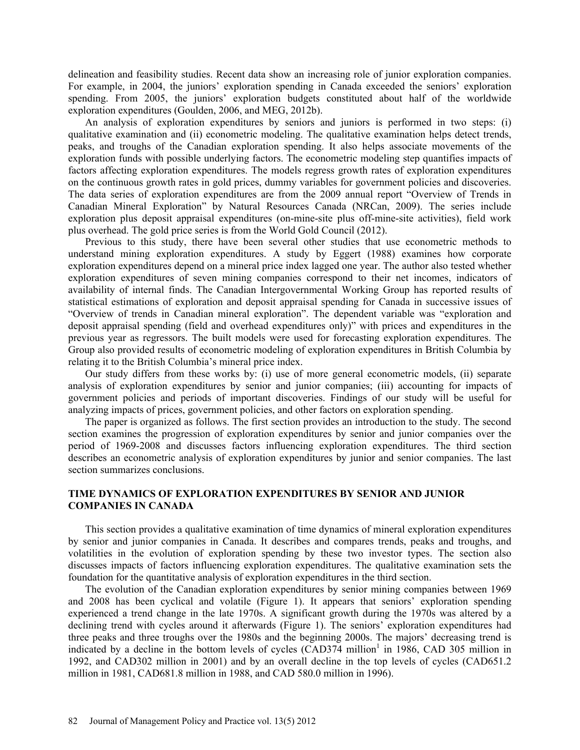delineation and feasibility studies. Recent data show an increasing role of junior exploration companies. For example, in 2004, the juniors' exploration spending in Canada exceeded the seniors' exploration spending. From 2005, the juniors' exploration budgets constituted about half of the worldwide exploration expenditures (Goulden, 2006, and MEG, 2012b).

An analysis of exploration expenditures by seniors and juniors is performed in two steps: (i) qualitative examination and (ii) econometric modeling. The qualitative examination helps detect trends, peaks, and troughs of the Canadian exploration spending. It also helps associate movements of the exploration funds with possible underlying factors. The econometric modeling step quantifies impacts of factors affecting exploration expenditures. The models regress growth rates of exploration expenditures on the continuous growth rates in gold prices, dummy variables for government policies and discoveries. The data series of exploration expenditures are from the 2009 annual report "Overview of Trends in Canadian Mineral Exploration" by Natural Resources Canada (NRCan, 2009). The series include exploration plus deposit appraisal expenditures (on-mine-site plus off-mine-site activities), field work plus overhead. The gold price series is from the World Gold Council (2012).

Previous to this study, there have been several other studies that use econometric methods to understand mining exploration expenditures. A study by Eggert (1988) examines how corporate exploration expenditures depend on a mineral price index lagged one year. The author also tested whether exploration expenditures of seven mining companies correspond to their net incomes, indicators of availability of internal finds. The Canadian Intergovernmental Working Group has reported results of statistical estimations of exploration and deposit appraisal spending for Canada in successive issues of "Overview of trends in Canadian mineral exploration". The dependent variable was "exploration and deposit appraisal spending (field and overhead expenditures only)" with prices and expenditures in the previous year as regressors. The built models were used for forecasting exploration expenditures. The Group also provided results of econometric modeling of exploration expenditures in British Columbia by relating it to the British Columbia's mineral price index.

Our study differs from these works by: (i) use of more general econometric models, (ii) separate analysis of exploration expenditures by senior and junior companies; (iii) accounting for impacts of government policies and periods of important discoveries. Findings of our study will be useful for analyzing impacts of prices, government policies, and other factors on exploration spending.

The paper is organized as follows. The first section provides an introduction to the study. The second section examines the progression of exploration expenditures by senior and junior companies over the period of 1969-2008 and discusses factors influencing exploration expenditures. The third section describes an econometric analysis of exploration expenditures by junior and senior companies. The last section summarizes conclusions.

### **TIME DYNAMICS OF EXPLORATION EXPENDITURES BY SENIOR AND JUNIOR COMPANIES IN CANADA**

This section provides a qualitative examination of time dynamics of mineral exploration expenditures by senior and junior companies in Canada. It describes and compares trends, peaks and troughs, and volatilities in the evolution of exploration spending by these two investor types. The section also discusses impacts of factors influencing exploration expenditures. The qualitative examination sets the foundation for the quantitative analysis of exploration expenditures in the third section.

The evolution of the Canadian exploration expenditures by senior mining companies between 1969 and 2008 has been cyclical and volatile (Figure 1). It appears that seniors' exploration spending experienced a trend change in the late 1970s. A significant growth during the 1970s was altered by a declining trend with cycles around it afterwards (Figure 1). The seniors' exploration expenditures had three peaks and three troughs over the 1980s and the beginning 2000s. The majors' decreasing trend is indicated by a decline in the bottom levels of cycles (CAD374 million<sup>1</sup> in 1986, CAD 305 million in 1992, and CAD302 million in 2001) and by an overall decline in the top levels of cycles (CAD651.2 million in 1981, CAD681.8 million in 1988, and CAD 580.0 million in 1996).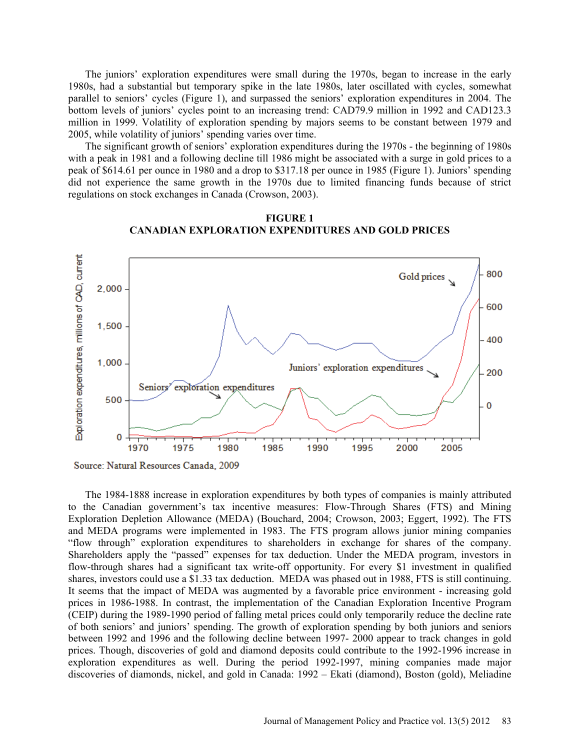The juniors' exploration expenditures were small during the 1970s, began to increase in the early 1980s, had a substantial but temporary spike in the late 1980s, later oscillated with cycles, somewhat parallel to seniors' cycles (Figure 1), and surpassed the seniors' exploration expenditures in 2004. The bottom levels of juniors' cycles point to an increasing trend: CAD79.9 million in 1992 and CAD123.3 million in 1999. Volatility of exploration spending by majors seems to be constant between 1979 and 2005, while volatility of juniors' spending varies over time.

The significant growth of seniors' exploration expenditures during the 1970s - the beginning of 1980s with a peak in 1981 and a following decline till 1986 might be associated with a surge in gold prices to a peak of \$614.61 per ounce in 1980 and a drop to \$317.18 per ounce in 1985 (Figure 1). Juniors' spending did not experience the same growth in the 1970s due to limited financing funds because of strict regulations on stock exchanges in Canada (Crowson, 2003).



**FIGURE 1 CANADIAN EXPLORATION EXPENDITURES AND GOLD PRICES** 

The 1984-1888 increase in exploration expenditures by both types of companies is mainly attributed to the Canadian government's tax incentive measures: Flow-Through Shares (FTS) and Mining Exploration Depletion Allowance (MEDA) (Bouchard, 2004; Crowson, 2003; Eggert, 1992). The FTS and MEDA programs were implemented in 1983. The FTS program allows junior mining companies "flow through" exploration expenditures to shareholders in exchange for shares of the company. Shareholders apply the "passed" expenses for tax deduction. Under the MEDA program, investors in flow-through shares had a significant tax write-off opportunity. For every \$1 investment in qualified shares, investors could use a \$1.33 tax deduction. MEDA was phased out in 1988, FTS is still continuing. It seems that the impact of MEDA was augmented by a favorable price environment - increasing gold prices in 1986-1988. In contrast, the implementation of the Canadian Exploration Incentive Program (CEIP) during the 1989-1990 period of falling metal prices could only temporarily reduce the decline rate of both seniors' and juniors' spending. The growth of exploration spending by both juniors and seniors between 1992 and 1996 and the following decline between 1997- 2000 appear to track changes in gold prices. Though, discoveries of gold and diamond deposits could contribute to the 1992-1996 increase in exploration expenditures as well. During the period 1992-1997, mining companies made major discoveries of diamonds, nickel, and gold in Canada: 1992 – Ekati (diamond), Boston (gold), Meliadine

Source: Natural Resources Canada, 2009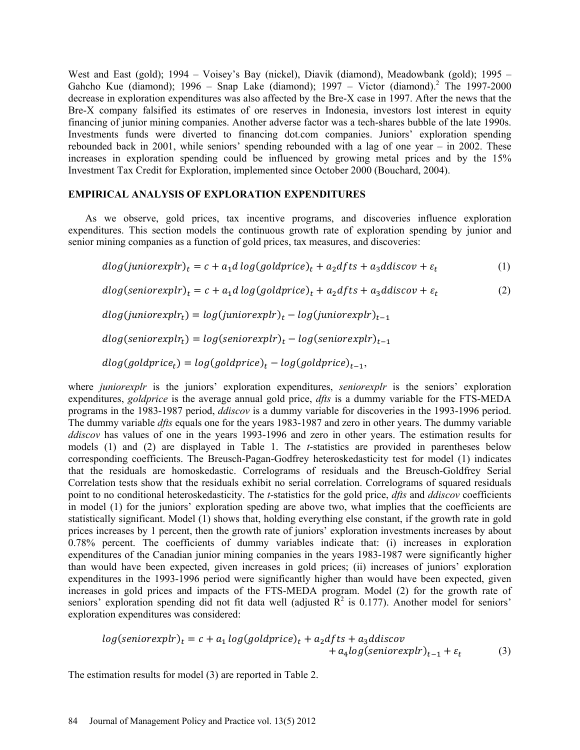West and East (gold); 1994 – Voisey's Bay (nickel), Diavik (diamond), Meadowbank (gold); 1995 – Gahcho Kue (diamond); 1996 – Snap Lake (diamond); 1997 – Victor (diamond).<sup>2</sup> The 1997-2000 decrease in exploration expenditures was also affected by the Bre-X case in 1997. After the news that the Bre-X company falsified its estimates of ore reserves in Indonesia, investors lost interest in equity financing of junior mining companies. Another adverse factor was a tech-shares bubble of the late 1990s. Investments funds were diverted to financing dot.com companies. Juniors' exploration spending rebounded back in 2001, while seniors' spending rebounded with a lag of one year – in 2002. These increases in exploration spending could be influenced by growing metal prices and by the 15% Investment Tax Credit for Exploration, implemented since October 2000 (Bouchard, 2004).

### **EMPIRICAL ANALYSIS OF EXPLORATION EXPENDITURES**

As we observe, gold prices, tax incentive programs, and discoveries influence exploration expenditures. This section models the continuous growth rate of exploration spending by junior and senior mining companies as a function of gold prices, tax measures, and discoveries:

$$
dlog(juniorexpr)_t = c + a_1d log(goldprice)_t + a_2dfts + a_3ddiscov + \varepsilon_t
$$
\n(1)

$$
dlog(seniorexpr)_t = c + a_1d log(goldprice)_t + a_2dfts + a_3ddiscov + \varepsilon_t
$$
\n(2)

$$
dlog(juniore xplr_t) = log(juniore xplr)_t - log(juniore xplr)_{t-1}
$$

 $dlog(seniorexpr_t) = log(seniorexpr)$ <sub>t</sub> –  $log(seniorexpr)$ <sub>t – 1</sub>

 $dlog(goldprice_t) = log(goldprice)$ <sub>t</sub> –  $log(goldprice)_{t-1}$ ,

where *juniorexplr* is the juniors' exploration expenditures, *seniorexplr* is the seniors' exploration expenditures, *goldprice* is the average annual gold price, *dfts* is a dummy variable for the FTS-MEDA programs in the 1983-1987 period, *ddiscov* is a dummy variable for discoveries in the 1993-1996 period. The dummy variable *dfts* equals one for the years 1983-1987 and zero in other years. The dummy variable *ddiscov* has values of one in the years 1993-1996 and zero in other years. The estimation results for models (1) and (2) are displayed in Table 1. The *t*-statistics are provided in parentheses below corresponding coefficients. The Breusch-Pagan-Godfrey heteroskedasticity test for model (1) indicates that the residuals are homoskedastic. Correlograms of residuals and the Breusch-Goldfrey Serial Correlation tests show that the residuals exhibit no serial correlation. Correlograms of squared residuals point to no conditional heteroskedasticity. The *t*-statistics for the gold price, *dfts* and *ddiscov* coefficients in model (1) for the juniors' exploration speding are above two, what implies that the coefficients are statistically significant. Model (1) shows that, holding everything else constant, if the growth rate in gold prices increases by 1 percent, then the growth rate of juniors' exploration investments increases by about 0.78% percent. The coefficients of dummy variables indicate that: (i) increases in exploration expenditures of the Canadian junior mining companies in the years 1983-1987 were significantly higher than would have been expected, given increases in gold prices; (ii) increases of juniors' exploration expenditures in the 1993-1996 period were significantly higher than would have been expected, given increases in gold prices and impacts of the FTS-MEDA program. Model (2) for the growth rate of seniors' exploration spending did not fit data well (adjusted  $\mathbb{R}^2$  is 0.177). Another model for seniors' exploration expenditures was considered:

$$
log(seniorexpr)_t = c + a_1 log(goldprice)_t + a_2dfts + a_3ddiscov + a_4 log(seniorexpr)_t_{t-1} + \varepsilon_t
$$
 (3)

The estimation results for model (3) are reported in Table 2.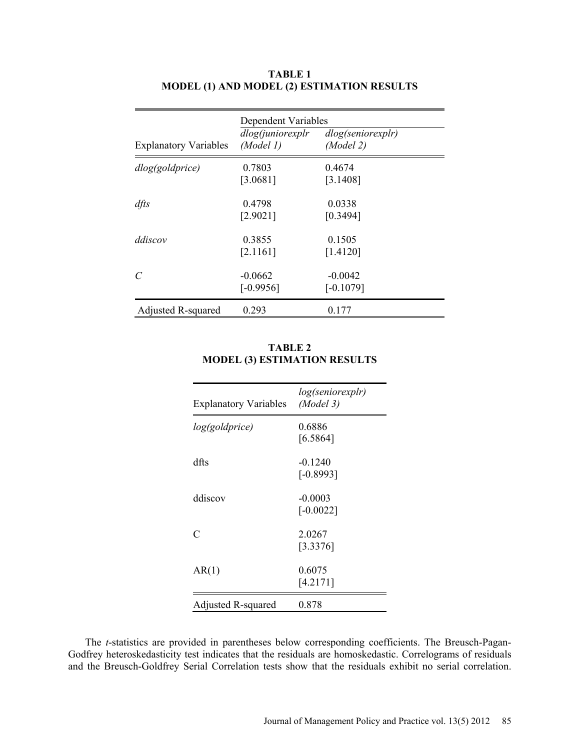| <b>Explanatory Variables</b> | Dependent Variables<br>dlog(juniorexplr)<br>(Model 1) | dlog(seniorexplr)<br>(Model 2) |
|------------------------------|-------------------------------------------------------|--------------------------------|
| dlog(goldprice)              | 0.7803<br>[3.0681]                                    | 0.4674<br>[3.1408]             |
| $df$ ts                      | 0.4798<br>[2.9021]                                    | 0.0338<br>[0.3494]             |
| ddiscov                      | 0.3855<br>[2.1161]                                    | 0.1505<br>[1.4120]             |
| C                            | $-0.0662$<br>$[-0.9956]$                              | $-0.0042$<br>$[-0.1079]$       |
| <b>Adjusted R-squared</b>    | 0.293                                                 | 0.177                          |

# **TABLE 1 MODEL (1) AND MODEL (2) ESTIMATION RESULTS**

# **TABLE 2 MODEL (3) ESTIMATION RESULTS**

| <b>Explanatory Variables</b> | log(seniorexplr)<br>(Model 3) |
|------------------------------|-------------------------------|
| log(goldprice)               | 0.6886<br>[6.5864]            |
| dfts                         | $-0.1240$<br>$[-0.8993]$      |
| ddiscov                      | $-0.0003$<br>$[-0.0022]$      |
| $\subset$                    | 2.0267<br>[3.3376]            |
| AR(1)                        | 0.6075<br>[4.2171]            |
| Adjusted R-squared           | 0.878                         |

The *t*-statistics are provided in parentheses below corresponding coefficients. The Breusch-Pagan-Godfrey heteroskedasticity test indicates that the residuals are homoskedastic. Correlograms of residuals and the Breusch-Goldfrey Serial Correlation tests show that the residuals exhibit no serial correlation.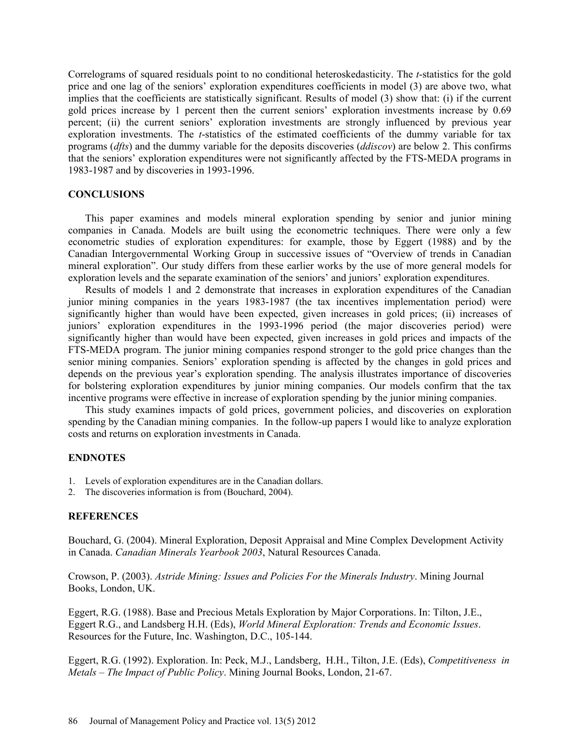Correlograms of squared residuals point to no conditional heteroskedasticity. The *t*-statistics for the gold price and one lag of the seniors' exploration expenditures coefficients in model (3) are above two, what implies that the coefficients are statistically significant. Results of model (3) show that: (i) if the current gold prices increase by 1 percent then the current seniors' exploration investments increase by 0.69 percent; (ii) the current seniors' exploration investments are strongly influenced by previous year exploration investments. The *t*-statistics of the estimated coefficients of the dummy variable for tax programs (*dfts*) and the dummy variable for the deposits discoveries (*ddiscov*) are below 2. This confirms that the seniors' exploration expenditures were not significantly affected by the FTS-MEDA programs in 1983-1987 and by discoveries in 1993-1996.

### **CONCLUSIONS**

This paper examines and models mineral exploration spending by senior and junior mining companies in Canada. Models are built using the econometric techniques. There were only a few econometric studies of exploration expenditures: for example, those by Eggert (1988) and by the Canadian Intergovernmental Working Group in successive issues of "Overview of trends in Canadian mineral exploration". Our study differs from these earlier works by the use of more general models for exploration levels and the separate examination of the seniors' and juniors' exploration expenditures.

Results of models 1 and 2 demonstrate that increases in exploration expenditures of the Canadian junior mining companies in the years 1983-1987 (the tax incentives implementation period) were significantly higher than would have been expected, given increases in gold prices; (ii) increases of juniors' exploration expenditures in the 1993-1996 period (the major discoveries period) were significantly higher than would have been expected, given increases in gold prices and impacts of the FTS-MEDA program. The junior mining companies respond stronger to the gold price changes than the senior mining companies. Seniors' exploration spending is affected by the changes in gold prices and depends on the previous year's exploration spending. The analysis illustrates importance of discoveries for bolstering exploration expenditures by junior mining companies. Our models confirm that the tax incentive programs were effective in increase of exploration spending by the junior mining companies.

This study examines impacts of gold prices, government policies, and discoveries on exploration spending by the Canadian mining companies.In the follow-up papers I would like to analyze exploration costs and returns on exploration investments in Canada.

#### **ENDNOTES**

- 1. Levels of exploration expenditures are in the Canadian dollars.
- 2. The discoveries information is from (Bouchard, 2004).

#### **REFERENCES**

Bouchard, G. (2004). Mineral Exploration, Deposit Appraisal and Mine Complex Development Activity in Canada. *Canadian Minerals Yearbook 2003*, Natural Resources Canada.

Crowson, P. (2003). *Astride Mining: Issues and Policies For the Minerals Industry*. Mining Journal Books, London, UK.

Eggert, R.G. (1988). Base and Precious Metals Exploration by Major Corporations. In: Tilton, J.E., Eggert R.G., and Landsberg H.H. (Eds), *World Mineral Exploration: Trends and Economic Issues*. Resources for the Future, Inc. Washington, D.C., 105-144.

Eggert, R.G. (1992). Exploration. In: Peck, M.J., Landsberg, H.H., Tilton, J.E. (Eds), *Competitiveness in Metals – The Impact of Public Policy*. Mining Journal Books, London, 21-67.